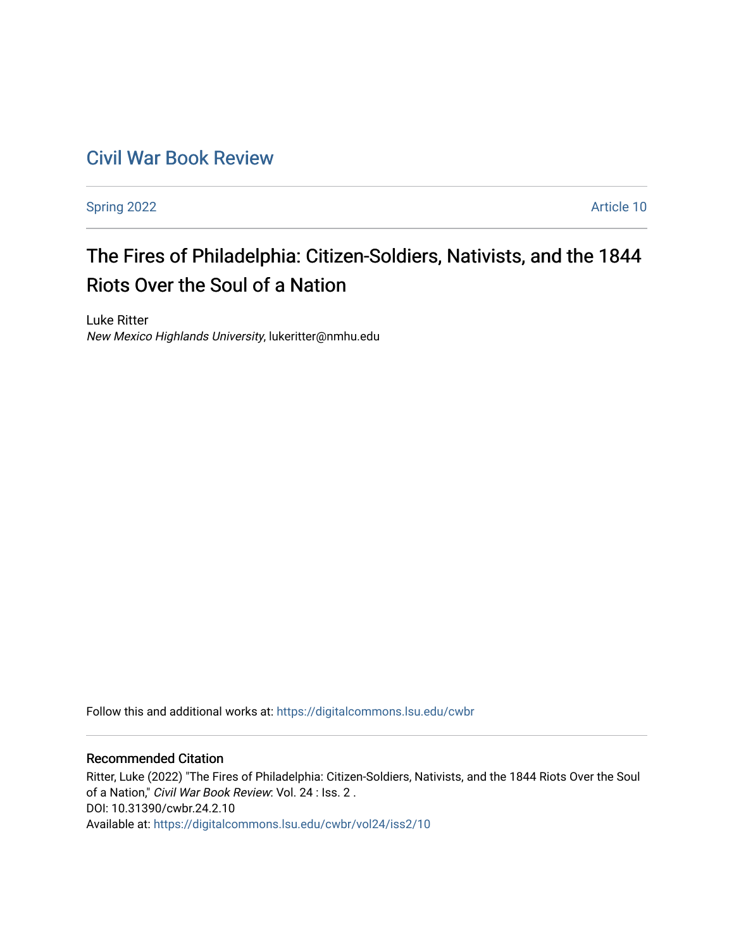## [Civil War Book Review](https://digitalcommons.lsu.edu/cwbr)

[Spring 2022](https://digitalcommons.lsu.edu/cwbr/vol24/iss2) **Article 10** 

# The Fires of Philadelphia: Citizen-Soldiers, Nativists, and the 1844 Riots Over the Soul of a Nation

Luke Ritter New Mexico Highlands University, lukeritter@nmhu.edu

Follow this and additional works at: [https://digitalcommons.lsu.edu/cwbr](https://digitalcommons.lsu.edu/cwbr?utm_source=digitalcommons.lsu.edu%2Fcwbr%2Fvol24%2Fiss2%2F10&utm_medium=PDF&utm_campaign=PDFCoverPages) 

#### Recommended Citation

Ritter, Luke (2022) "The Fires of Philadelphia: Citizen-Soldiers, Nativists, and the 1844 Riots Over the Soul of a Nation," Civil War Book Review: Vol. 24 : Iss. 2 . DOI: 10.31390/cwbr.24.2.10 Available at: [https://digitalcommons.lsu.edu/cwbr/vol24/iss2/10](https://digitalcommons.lsu.edu/cwbr/vol24/iss2/10?utm_source=digitalcommons.lsu.edu%2Fcwbr%2Fvol24%2Fiss2%2F10&utm_medium=PDF&utm_campaign=PDFCoverPages)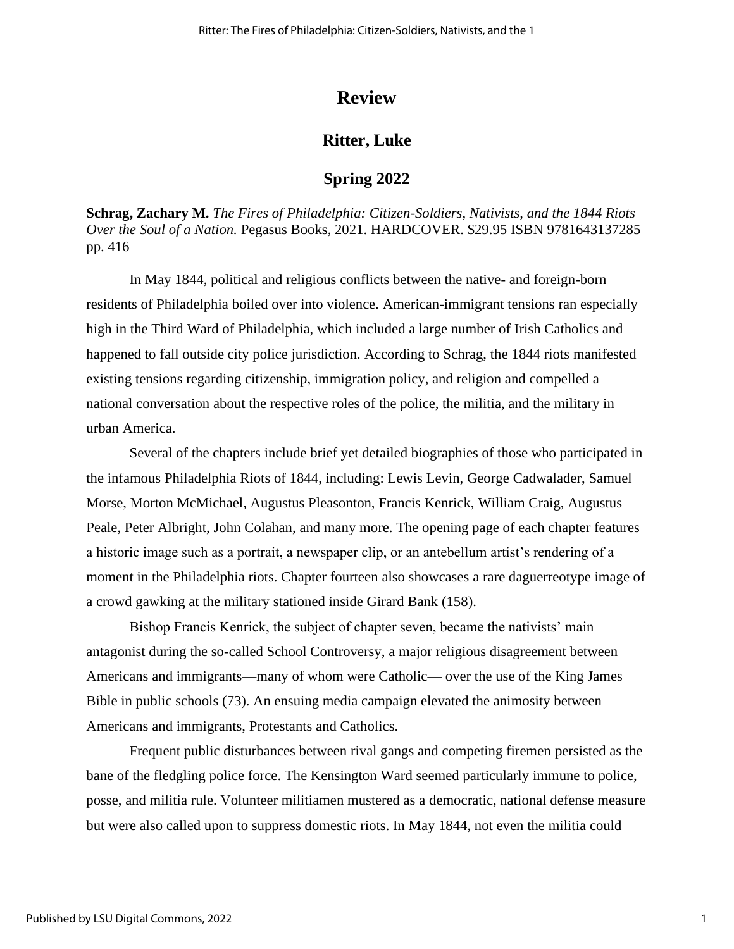## **Review**

## **Ritter, Luke**

## **Spring 2022**

**Schrag, Zachary M.** *The Fires of Philadelphia: Citizen-Soldiers, Nativists, and the 1844 Riots Over the Soul of a Nation.* Pegasus Books, 2021. HARDCOVER. \$29.95 ISBN 9781643137285 pp. 416

In May 1844, political and religious conflicts between the native- and foreign-born residents of Philadelphia boiled over into violence. American-immigrant tensions ran especially high in the Third Ward of Philadelphia, which included a large number of Irish Catholics and happened to fall outside city police jurisdiction. According to Schrag, the 1844 riots manifested existing tensions regarding citizenship, immigration policy, and religion and compelled a national conversation about the respective roles of the police, the militia, and the military in urban America.

Several of the chapters include brief yet detailed biographies of those who participated in the infamous Philadelphia Riots of 1844, including: Lewis Levin, George Cadwalader, Samuel Morse, Morton McMichael, Augustus Pleasonton, Francis Kenrick, William Craig, Augustus Peale, Peter Albright, John Colahan, and many more. The opening page of each chapter features a historic image such as a portrait, a newspaper clip, or an antebellum artist's rendering of a moment in the Philadelphia riots. Chapter fourteen also showcases a rare daguerreotype image of a crowd gawking at the military stationed inside Girard Bank (158).

Bishop Francis Kenrick, the subject of chapter seven, became the nativists' main antagonist during the so-called School Controversy, a major religious disagreement between Americans and immigrants—many of whom were Catholic— over the use of the King James Bible in public schools (73). An ensuing media campaign elevated the animosity between Americans and immigrants, Protestants and Catholics.

Frequent public disturbances between rival gangs and competing firemen persisted as the bane of the fledgling police force. The Kensington Ward seemed particularly immune to police, posse, and militia rule. Volunteer militiamen mustered as a democratic, national defense measure but were also called upon to suppress domestic riots. In May 1844, not even the militia could